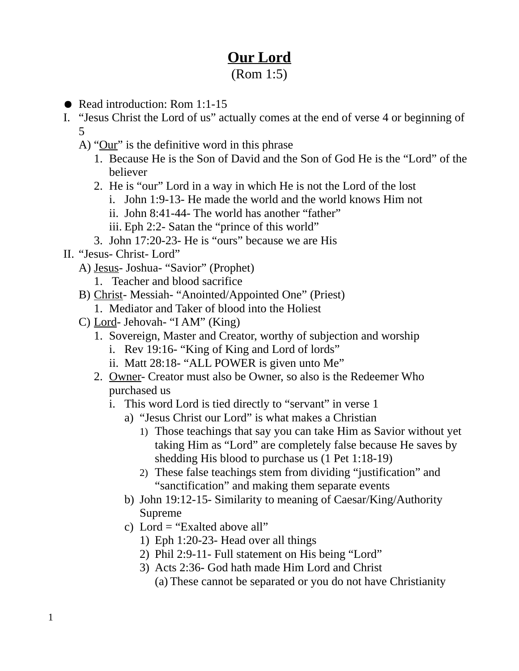## **Our Lord**

## (Rom 1:5)

- Read introduction: Rom 1:1-15
- I. "Jesus Christ the Lord of us" actually comes at the end of verse 4 or beginning of 5
	- A) "Our" is the definitive word in this phrase
		- 1. Because He is the Son of David and the Son of God He is the "Lord" of the believer
		- 2. He is "our" Lord in a way in which He is not the Lord of the lost
			- i. John 1:9-13- He made the world and the world knows Him not
			- ii. John 8:41-44- The world has another "father"
			- iii. Eph 2:2- Satan the "prince of this world"
		- 3. John 17:20-23- He is "ours" because we are His
- II. "Jesus- Christ- Lord"
	- A) Jesus- Joshua- "Savior" (Prophet)
		- 1. Teacher and blood sacrifice
	- B) Christ- Messiah- "Anointed/Appointed One" (Priest)
		- 1. Mediator and Taker of blood into the Holiest
	- C) Lord- Jehovah- "I AM" (King)
		- 1. Sovereign, Master and Creator, worthy of subjection and worship
			- i. Rev 19:16- "King of King and Lord of lords"
			- ii. Matt 28:18- "ALL POWER is given unto Me"
		- 2. Owner- Creator must also be Owner, so also is the Redeemer Who purchased us
			- i. This word Lord is tied directly to "servant" in verse 1
				- a) "Jesus Christ our Lord" is what makes a Christian
					- 1) Those teachings that say you can take Him as Savior without yet taking Him as "Lord" are completely false because He saves by shedding His blood to purchase us (1 Pet 1:18-19)
					- 2) These false teachings stem from dividing "justification" and "sanctification" and making them separate events
				- b) John 19:12-15- Similarity to meaning of Caesar/King/Authority Supreme
				- c) Lord = "Exalted above all"
					- 1) Eph 1:20-23- Head over all things
					- 2) Phil 2:9-11- Full statement on His being "Lord"
					- 3) Acts 2:36- God hath made Him Lord and Christ (a) These cannot be separated or you do not have Christianity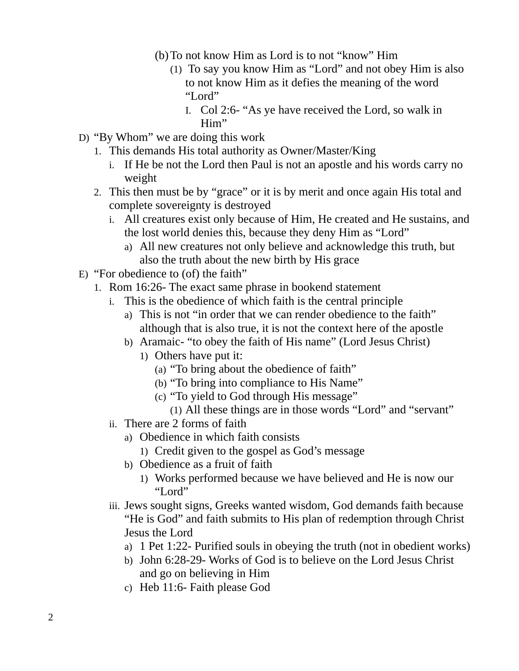- (b)To not know Him as Lord is to not "know" Him
	- (1) To say you know Him as "Lord" and not obey Him is also to not know Him as it defies the meaning of the word "Lord"
		- I. Col 2:6- "As ye have received the Lord, so walk in Him"
- D) "By Whom" we are doing this work
	- 1. This demands His total authority as Owner/Master/King
		- i. If He be not the Lord then Paul is not an apostle and his words carry no weight
	- 2. This then must be by "grace" or it is by merit and once again His total and complete sovereignty is destroyed
		- i. All creatures exist only because of Him, He created and He sustains, and the lost world denies this, because they deny Him as "Lord"
			- a) All new creatures not only believe and acknowledge this truth, but also the truth about the new birth by His grace
- E) "For obedience to (of) the faith"
	- 1. Rom 16:26- The exact same phrase in bookend statement
		- i. This is the obedience of which faith is the central principle
			- a) This is not "in order that we can render obedience to the faith" although that is also true, it is not the context here of the apostle
			- b) Aramaic- "to obey the faith of His name" (Lord Jesus Christ)
				- 1) Others have put it:
					- (a) "To bring about the obedience of faith"
					- (b) "To bring into compliance to His Name"
					- (c) "To yield to God through His message"
						- (1) All these things are in those words "Lord" and "servant"
		- ii. There are 2 forms of faith
			- a) Obedience in which faith consists
				- 1) Credit given to the gospel as God's message
			- b) Obedience as a fruit of faith
				- 1) Works performed because we have believed and He is now our "Lord"
		- iii. Jews sought signs, Greeks wanted wisdom, God demands faith because "He is God" and faith submits to His plan of redemption through Christ Jesus the Lord
			- a) 1 Pet 1:22- Purified souls in obeying the truth (not in obedient works)
			- b) John 6:28-29- Works of God is to believe on the Lord Jesus Christ and go on believing in Him
			- c) Heb 11:6- Faith please God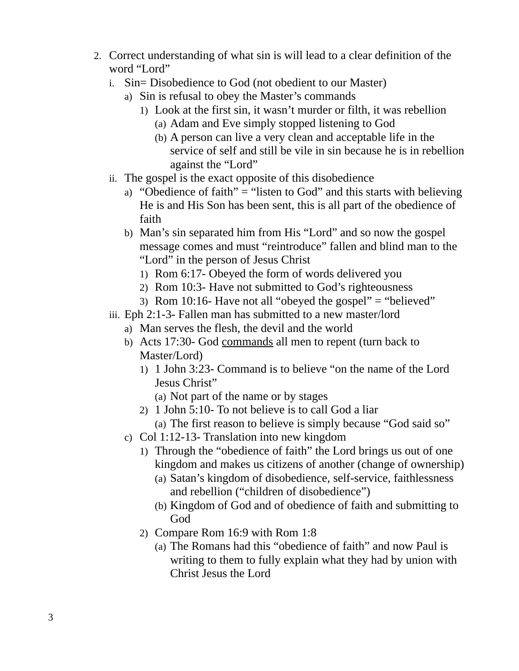- 2. Correct understanding of what sin is will lead to a clear definition of the word "Lord"
	- i. Sin= Disobedience to God (not obedient to our Master)
		- a) Sin is refusal to obey the Master's commands
			- 1) Look at the first sin, it wasn't murder or filth, it was rebellion (a) Adam and Eve simply stopped listening to God
				- (b) A person can live a very clean and acceptable life in the service of self and still be vile in sin because he is in rebellion against the "Lord"
	- ii. The gospel is the exact opposite of this disobedience
		- a) "Obedience of faith" = "listen to God" and this starts with believing He is and His Son has been sent, this is all part of the obedience of faith
		- b) Man's sin separated him from His "Lord" and so now the gospel message comes and must "reintroduce" fallen and blind man to the "Lord" in the person of Jesus Christ
			- 1) Rom 6:17- Obeyed the form of words delivered you
			- 2) Rom 10:3- Have not submitted to God's righteousness
			- 3) Rom 10:16- Have not all "obeyed the gospel" = "believed"
	- iii. Eph 2:1-3- Fallen man has submitted to a new master/lord
		- a) Man serves the flesh, the devil and the world
		- b) Acts 17:30- God commands all men to repent (turn back to Master/Lord)
			- 1) 1 John 3:23- Command is to believe "on the name of the Lord Jesus Christ"
				- (a) Not part of the name or by stages
			- 2) 1 John 5:10- To not believe is to call God a liar
				- (a) The first reason to believe is simply because "God said so"
		- c) Col 1:12-13- Translation into new kingdom
			- 1) Through the "obedience of faith" the Lord brings us out of one kingdom and makes us citizens of another (change of ownership)
				- (a) Satan's kingdom of disobedience, self-service, faithlessness and rebellion ("children of disobedience")
				- (b) Kingdom of God and of obedience of faith and submitting to God
			- 2) Compare Rom 16:9 with Rom 1:8
				- (a) The Romans had this "obedience of faith" and now Paul is writing to them to fully explain what they had by union with Christ Jesus the Lord